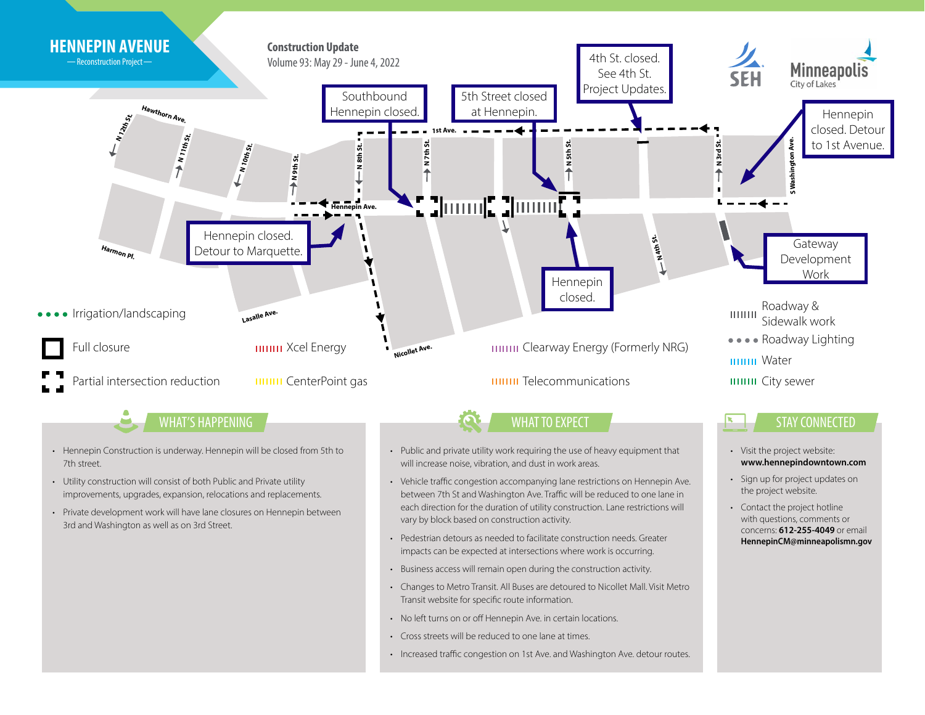

- 3rd and Washington as well as on 3rd Street.
- Pedestrian detours as needed to facilitate construction needs. Greater impacts can be expected at intersections where work is occurring.

concerns: **612-255-4049** or email **HennepinCM@minneapolismn.gov**

- Business access will remain open during the construction activity.
- Changes to Metro Transit. All Buses are detoured to Nicollet Mall. Visit Metro Transit website for specific route information.
- No left turns on or off Hennepin Ave. in certain locations.
- Cross streets will be reduced to one lane at times.
- Increased traffic congestion on 1st Ave. and Washington Ave. detour routes.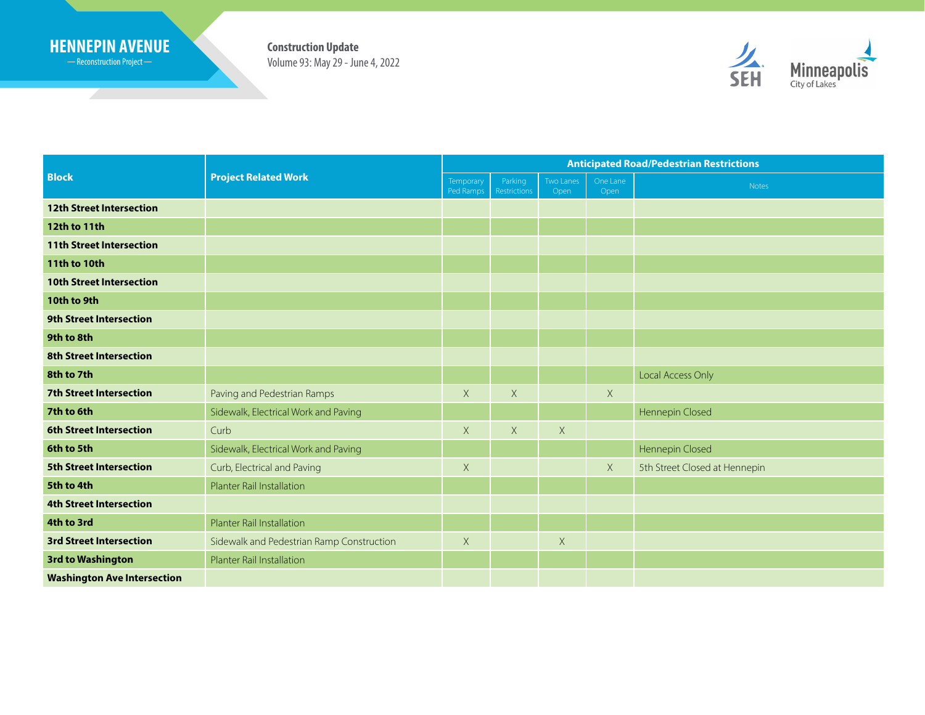## **HENNEPIN AVENUE Construction Update**

Reconstruction Project

<u> Samuel Barbara (</u>

Volume 93: May 29 - June 4, 2022



| <b>Block</b>                       | <b>Project Related Work</b>               | <b>Anticipated Road/Pedestrian Restrictions</b> |                         |                   |                  |                               |
|------------------------------------|-------------------------------------------|-------------------------------------------------|-------------------------|-------------------|------------------|-------------------------------|
|                                    |                                           | Temporary<br>Ped Ramps                          | Parking<br>Restrictions | Two Lanes<br>Open | One Lane<br>Open | Notes                         |
| <b>12th Street Intersection</b>    |                                           |                                                 |                         |                   |                  |                               |
| 12th to 11th                       |                                           |                                                 |                         |                   |                  |                               |
| <b>11th Street Intersection</b>    |                                           |                                                 |                         |                   |                  |                               |
| <b>11th to 10th</b>                |                                           |                                                 |                         |                   |                  |                               |
| <b>10th Street Intersection</b>    |                                           |                                                 |                         |                   |                  |                               |
| 10th to 9th                        |                                           |                                                 |                         |                   |                  |                               |
| <b>9th Street Intersection</b>     |                                           |                                                 |                         |                   |                  |                               |
| 9th to 8th                         |                                           |                                                 |                         |                   |                  |                               |
| <b>8th Street Intersection</b>     |                                           |                                                 |                         |                   |                  |                               |
| 8th to 7th                         |                                           |                                                 |                         |                   |                  | Local Access Only             |
| <b>7th Street Intersection</b>     | Paving and Pedestrian Ramps               | X                                               | X                       |                   | $\times$         |                               |
| 7th to 6th                         | Sidewalk, Electrical Work and Paving      |                                                 |                         |                   |                  | Hennepin Closed               |
| <b>6th Street Intersection</b>     | Curb                                      | $\times$                                        | $\chi$                  | $\times$          |                  |                               |
| 6th to 5th                         | Sidewalk, Electrical Work and Paving      |                                                 |                         |                   |                  | Hennepin Closed               |
| <b>5th Street Intersection</b>     | Curb, Electrical and Paving               | $\mathsf X$                                     |                         |                   | $\mathsf X$      | 5th Street Closed at Hennepin |
| 5th to 4th                         | Planter Rail Installation                 |                                                 |                         |                   |                  |                               |
| <b>4th Street Intersection</b>     |                                           |                                                 |                         |                   |                  |                               |
| 4th to 3rd                         | Planter Rail Installation                 |                                                 |                         |                   |                  |                               |
| <b>3rd Street Intersection</b>     | Sidewalk and Pedestrian Ramp Construction | $\times$                                        |                         | $\times$          |                  |                               |
| <b>3rd to Washington</b>           | Planter Rail Installation                 |                                                 |                         |                   |                  |                               |
| <b>Washington Ave Intersection</b> |                                           |                                                 |                         |                   |                  |                               |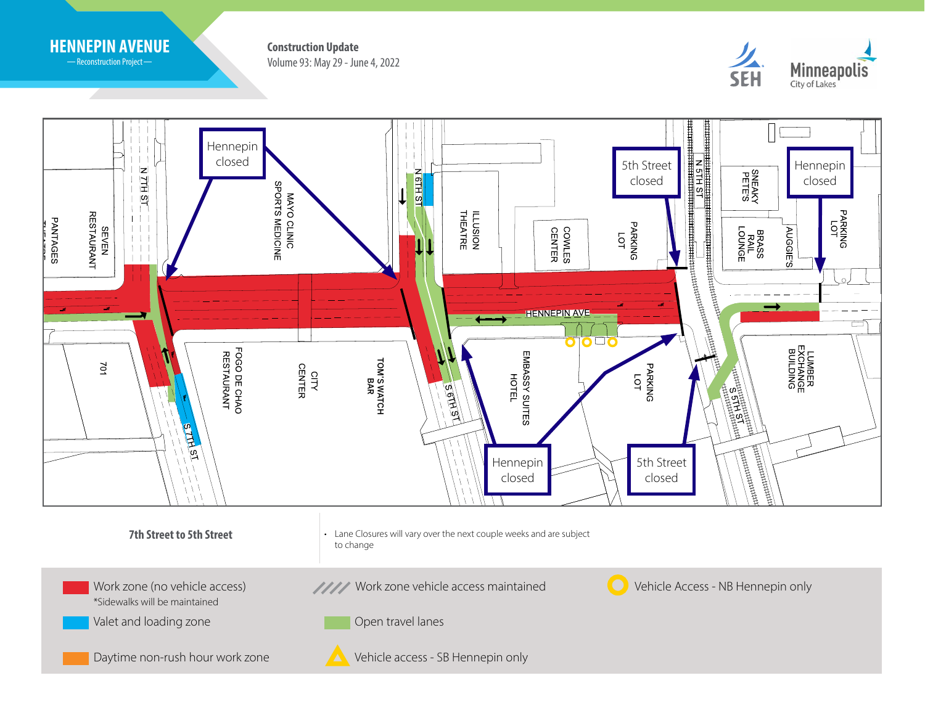

-Reconstruction Project-

Volume 93: May 29 - June 4, 2022